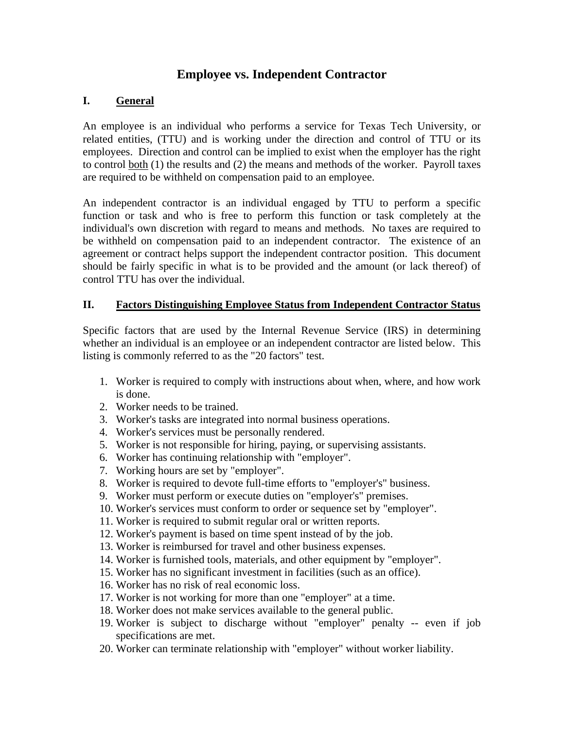# **Employee vs. Independent Contractor**

### **I. General**

An employee is an individual who performs a service for Texas Tech University, or related entities, (TTU) and is working under the direction and control of TTU or its employees. Direction and control can be implied to exist when the employer has the right to control both (1) the results and (2) the means and methods of the worker. Payroll taxes are required to be withheld on compensation paid to an employee.

An independent contractor is an individual engaged by TTU to perform a specific function or task and who is free to perform this function or task completely at the individual's own discretion with regard to means and methods*.* No taxes are required to be withheld on compensation paid to an independent contractor. The existence of an agreement or contract helps support the independent contractor position. This document should be fairly specific in what is to be provided and the amount (or lack thereof) of control TTU has over the individual.

#### **II. Factors Distinguishing Employee Status from Independent Contractor Status**

Specific factors that are used by the Internal Revenue Service (IRS) in determining whether an individual is an employee or an independent contractor are listed below. This listing is commonly referred to as the "20 factors" test.

- 1. Worker is required to comply with instructions about when, where, and how work is done.
- 2. Worker needs to be trained.
- 3. Worker's tasks are integrated into normal business operations.
- 4. Worker's services must be personally rendered.
- 5. Worker is not responsible for hiring, paying, or supervising assistants.
- 6. Worker has continuing relationship with "employer".
- 7. Working hours are set by "employer".
- 8. Worker is required to devote full-time efforts to "employer's" business.
- 9. Worker must perform or execute duties on "employer's" premises.
- 10. Worker's services must conform to order or sequence set by "employer".
- 11. Worker is required to submit regular oral or written reports.
- 12. Worker's payment is based on time spent instead of by the job.
- 13. Worker is reimbursed for travel and other business expenses.
- 14. Worker is furnished tools, materials, and other equipment by "employer".
- 15. Worker has no significant investment in facilities (such as an office).
- 16. Worker has no risk of real economic loss.
- 17. Worker is not working for more than one "employer" at a time.
- 18. Worker does not make services available to the general public.
- 19. Worker is subject to discharge without "employer" penalty -- even if job specifications are met.
- 20. Worker can terminate relationship with "employer" without worker liability.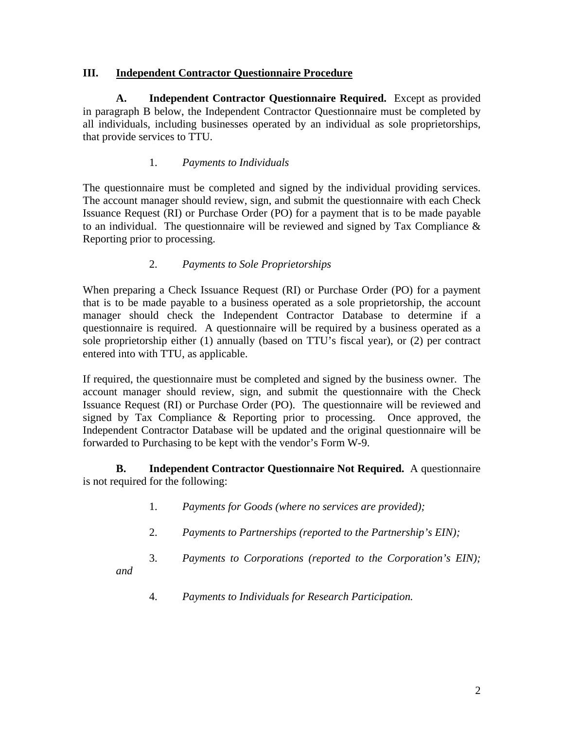### **III. Independent Contractor Questionnaire Procedure**

 **A. Independent Contractor Questionnaire Required.** Except as provided in paragraph B below, the Independent Contractor Questionnaire must be completed by all individuals, including businesses operated by an individual as sole proprietorships, that provide services to TTU.

### 1. *Payments to Individuals*

The questionnaire must be completed and signed by the individual providing services. The account manager should review, sign, and submit the questionnaire with each Check Issuance Request (RI) or Purchase Order (PO) for a payment that is to be made payable to an individual. The questionnaire will be reviewed and signed by Tax Compliance  $\&$ Reporting prior to processing.

### 2. *Payments to Sole Proprietorships*

When preparing a Check Issuance Request (RI) or Purchase Order (PO) for a payment that is to be made payable to a business operated as a sole proprietorship, the account manager should check the Independent Contractor Database to determine if a questionnaire is required. A questionnaire will be required by a business operated as a sole proprietorship either (1) annually (based on TTU's fiscal year), or (2) per contract entered into with TTU, as applicable.

If required, the questionnaire must be completed and signed by the business owner. The account manager should review, sign, and submit the questionnaire with the Check Issuance Request (RI) or Purchase Order (PO). The questionnaire will be reviewed and signed by Tax Compliance & Reporting prior to processing. Once approved, the Independent Contractor Database will be updated and the original questionnaire will be forwarded to Purchasing to be kept with the vendor's Form W-9.

**B. Independent Contractor Questionnaire Not Required.** A questionnaire is not required for the following:

- 1. *Payments for Goods (where no services are provided);*
- 2. *Payments to Partnerships (reported to the Partnership's EIN);*
- 3. *Payments to Corporations (reported to the Corporation's EIN);*

*and* 

4. *Payments to Individuals for Research Participation.*